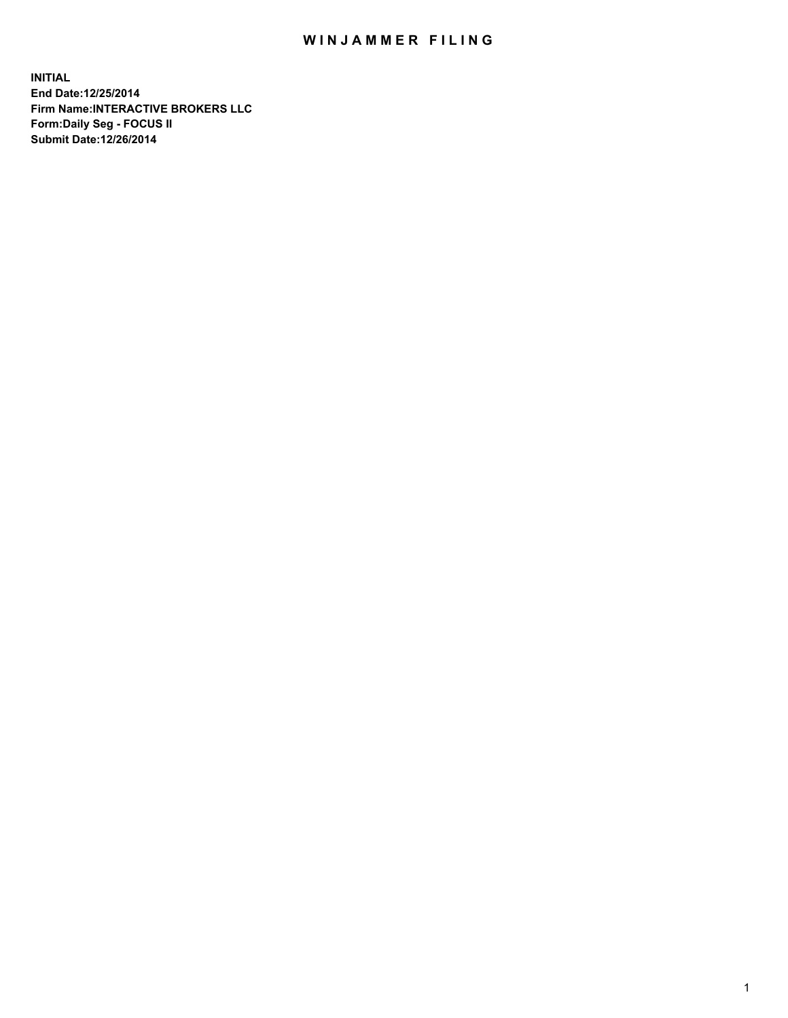## WIN JAMMER FILING

**INITIAL End Date:12/25/2014 Firm Name:INTERACTIVE BROKERS LLC Form:Daily Seg - FOCUS II Submit Date:12/26/2014**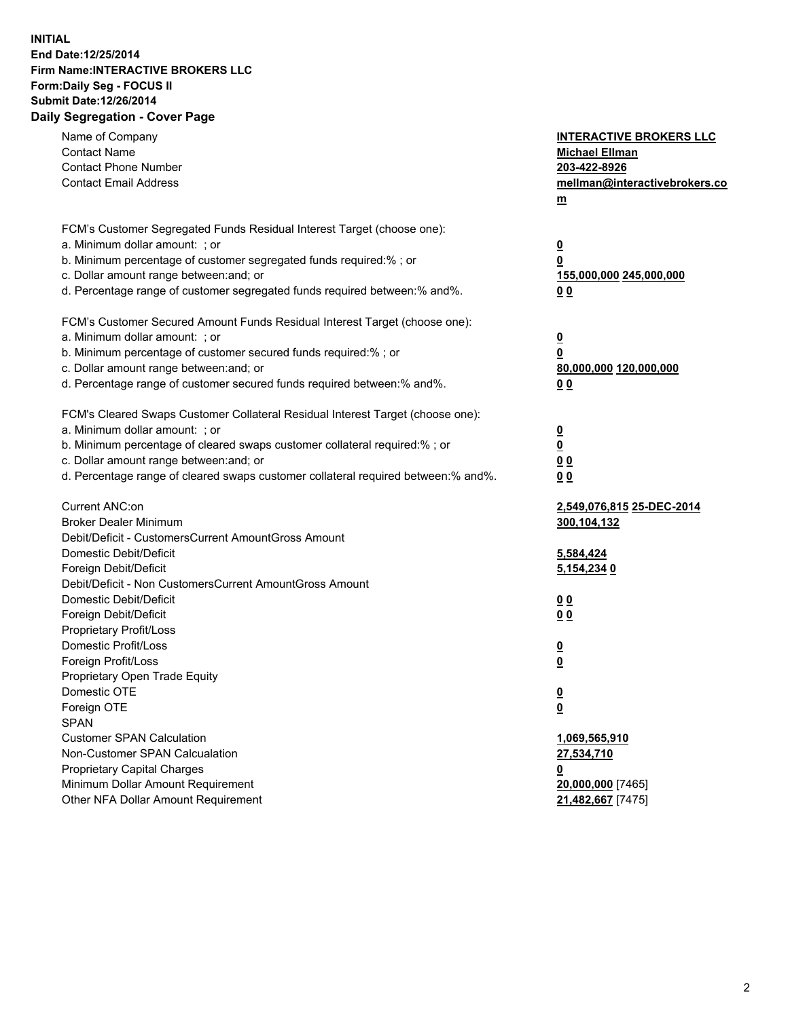## **INITIAL End Date:12/25/2014 Firm Name:INTERACTIVE BROKERS LLC Form:Daily Seg - FOCUS II Submit Date:12/26/2014 Daily Segregation - Cover Page**

| Name of Company<br><b>Contact Name</b><br><b>Contact Phone Number</b><br><b>Contact Email Address</b>                                                                                                                                                                                                                          | <b>INTERACTIVE BROKERS LLC</b><br><b>Michael Ellman</b><br>203-422-8926<br>mellman@interactivebrokers.co<br>m |
|--------------------------------------------------------------------------------------------------------------------------------------------------------------------------------------------------------------------------------------------------------------------------------------------------------------------------------|---------------------------------------------------------------------------------------------------------------|
| FCM's Customer Segregated Funds Residual Interest Target (choose one):<br>a. Minimum dollar amount: ; or<br>b. Minimum percentage of customer segregated funds required:% ; or<br>c. Dollar amount range between: and; or<br>d. Percentage range of customer segregated funds required between:% and%.                         | $\overline{\mathbf{0}}$<br>0<br>155,000,000 245,000,000<br>00                                                 |
| FCM's Customer Secured Amount Funds Residual Interest Target (choose one):<br>a. Minimum dollar amount: ; or<br>b. Minimum percentage of customer secured funds required:% ; or<br>c. Dollar amount range between: and; or<br>d. Percentage range of customer secured funds required between:% and%.                           | $\overline{\mathbf{0}}$<br>0<br>80,000,000 120,000,000<br>0 <sub>0</sub>                                      |
| FCM's Cleared Swaps Customer Collateral Residual Interest Target (choose one):<br>a. Minimum dollar amount: ; or<br>b. Minimum percentage of cleared swaps customer collateral required:% ; or<br>c. Dollar amount range between: and; or<br>d. Percentage range of cleared swaps customer collateral required between:% and%. | $\overline{\mathbf{0}}$<br><u>0</u><br>0 <sub>0</sub><br>0 <sub>0</sub>                                       |
| Current ANC:on<br><b>Broker Dealer Minimum</b><br>Debit/Deficit - CustomersCurrent AmountGross Amount<br>Domestic Debit/Deficit<br>Foreign Debit/Deficit                                                                                                                                                                       | 2,549,076,815 25-DEC-2014<br>300,104,132<br>5,584,424<br>5,154,234 0                                          |
| Debit/Deficit - Non CustomersCurrent AmountGross Amount<br>Domestic Debit/Deficit<br>Foreign Debit/Deficit<br>Proprietary Profit/Loss<br>Domestic Profit/Loss                                                                                                                                                                  | 0 <sub>0</sub><br>0 <sub>0</sub><br>$\overline{\mathbf{0}}$                                                   |
| Foreign Profit/Loss<br>Proprietary Open Trade Equity<br>Domestic OTE<br>Foreign OTE<br><b>SPAN</b><br><b>Customer SPAN Calculation</b>                                                                                                                                                                                         | $\overline{\mathbf{0}}$<br>$\overline{\mathbf{0}}$<br><u>0</u><br>1,069,565,910                               |
| Non-Customer SPAN Calcualation<br><b>Proprietary Capital Charges</b><br>Minimum Dollar Amount Requirement<br>Other NFA Dollar Amount Requirement                                                                                                                                                                               | 27,534,710<br><u>0</u><br>20,000,000 [7465]<br>21,482,667 [7475]                                              |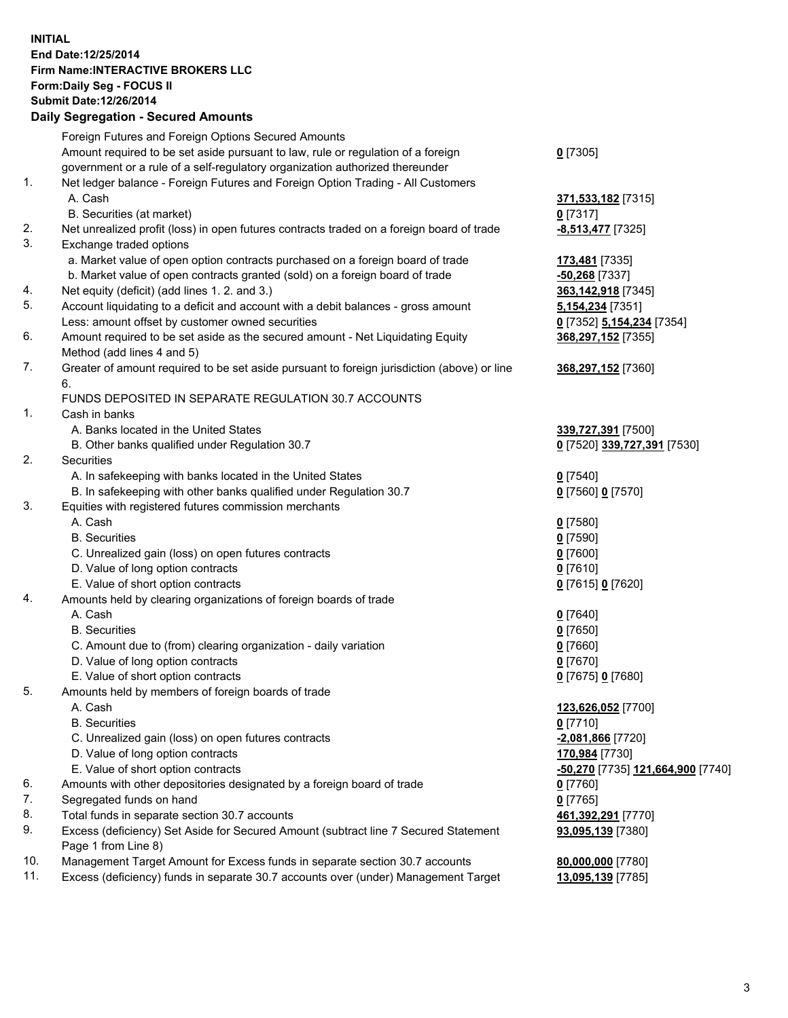## **INITIAL End Date:12/25/2014 Firm Name:INTERACTIVE BROKERS LLC Form:Daily Seg - FOCUS II Submit Date:12/26/2014 Daily Segregation - Secured Amounts**

|     | Foreign Futures and Foreign Options Secured Amounts                                                        |                                                |
|-----|------------------------------------------------------------------------------------------------------------|------------------------------------------------|
|     | Amount required to be set aside pursuant to law, rule or regulation of a foreign                           | $0$ [7305]                                     |
|     | government or a rule of a self-regulatory organization authorized thereunder                               |                                                |
| 1.  | Net ledger balance - Foreign Futures and Foreign Option Trading - All Customers                            |                                                |
|     | A. Cash                                                                                                    | 371,533,182 [7315]                             |
|     | B. Securities (at market)                                                                                  | $0$ [7317]                                     |
| 2.  | Net unrealized profit (loss) in open futures contracts traded on a foreign board of trade                  | <u>-8,513,477</u> [7325]                       |
| 3.  | Exchange traded options                                                                                    |                                                |
|     | a. Market value of open option contracts purchased on a foreign board of trade                             | 173,481 [7335]                                 |
|     | b. Market value of open contracts granted (sold) on a foreign board of trade                               | -50,268 [7337]                                 |
| 4.  | Net equity (deficit) (add lines 1. 2. and 3.)                                                              | 363,142,918 [7345]                             |
| 5.  | Account liquidating to a deficit and account with a debit balances - gross amount                          | 5,154,234 [7351]                               |
|     | Less: amount offset by customer owned securities                                                           | 0 [7352] 5,154,234 [7354]                      |
| 6.  | Amount required to be set aside as the secured amount - Net Liquidating Equity                             | 368,297,152 [7355]                             |
|     | Method (add lines 4 and 5)                                                                                 |                                                |
| 7.  | Greater of amount required to be set aside pursuant to foreign jurisdiction (above) or line                | 368,297,152 [7360]                             |
|     | 6.                                                                                                         |                                                |
|     | FUNDS DEPOSITED IN SEPARATE REGULATION 30.7 ACCOUNTS                                                       |                                                |
| 1.  | Cash in banks                                                                                              |                                                |
|     | A. Banks located in the United States                                                                      | 339,727,391 [7500]                             |
|     | B. Other banks qualified under Regulation 30.7                                                             | 0 [7520] 339,727,391 [7530]                    |
| 2.  | Securities                                                                                                 |                                                |
|     | A. In safekeeping with banks located in the United States                                                  | $0$ [7540]                                     |
|     | B. In safekeeping with other banks qualified under Regulation 30.7                                         | 0 [7560] 0 [7570]                              |
| 3.  | Equities with registered futures commission merchants                                                      |                                                |
|     | A. Cash                                                                                                    | $0$ [7580]                                     |
|     | <b>B.</b> Securities                                                                                       | $0$ [7590]                                     |
|     | C. Unrealized gain (loss) on open futures contracts                                                        | $0$ [7600]                                     |
|     | D. Value of long option contracts                                                                          | $0$ [7610]                                     |
|     | E. Value of short option contracts                                                                         | 0 [7615] 0 [7620]                              |
| 4.  | Amounts held by clearing organizations of foreign boards of trade                                          |                                                |
|     | A. Cash                                                                                                    | $0$ [7640]                                     |
|     | <b>B.</b> Securities                                                                                       | $0$ [7650]                                     |
|     | C. Amount due to (from) clearing organization - daily variation                                            | $0$ [7660]                                     |
|     | D. Value of long option contracts                                                                          | $0$ [7670]                                     |
|     | E. Value of short option contracts                                                                         | 0 [7675] 0 [7680]                              |
| 5.  | Amounts held by members of foreign boards of trade                                                         |                                                |
|     | A. Cash                                                                                                    | 123,626,052 [7700]                             |
|     | <b>B.</b> Securities                                                                                       | $0$ [7710]                                     |
|     | C. Unrealized gain (loss) on open futures contracts                                                        | -2,081,866 [7720]                              |
|     | D. Value of long option contracts                                                                          | 170,984 [7730]                                 |
|     | E. Value of short option contracts                                                                         | <mark>-50,270</mark> [7735] 121,664,900 [7740] |
| 6.  | Amounts with other depositories designated by a foreign board of trade                                     | $0$ [7760]                                     |
| 7.  | Segregated funds on hand                                                                                   | $0$ [7765]                                     |
| 8.  | Total funds in separate section 30.7 accounts                                                              | 461,392,291 [7770]                             |
| 9.  | Excess (deficiency) Set Aside for Secured Amount (subtract line 7 Secured Statement<br>Page 1 from Line 8) | 93,095,139 [7380]                              |
| 10. | Management Target Amount for Excess funds in separate section 30.7 accounts                                | 80,000,000 [7780]                              |
| 11. | Excess (deficiency) funds in separate 30.7 accounts over (under) Management Target                         | 13,095,139 [7785]                              |
|     |                                                                                                            |                                                |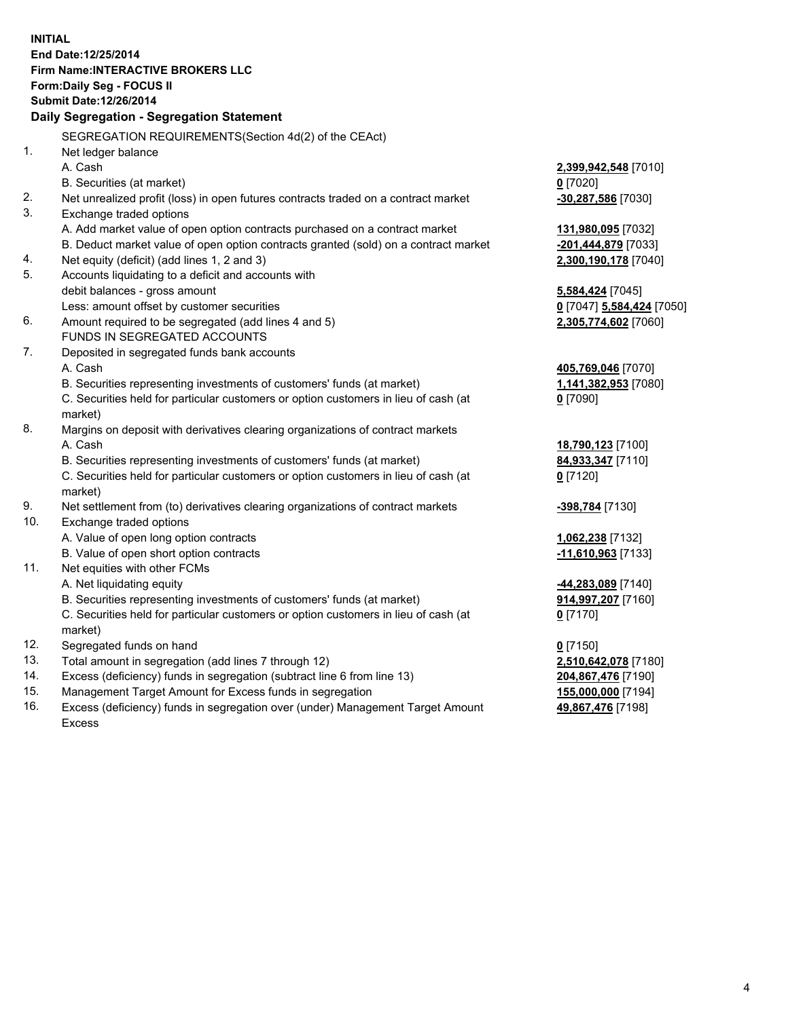**INITIAL End Date:12/25/2014 Firm Name:INTERACTIVE BROKERS LLC Form:Daily Seg - FOCUS II Submit Date:12/26/2014 Daily Segregation - Segregation Statement** SEGREGATION REQUIREMENTS(Section 4d(2) of the CEAct) 1. Net ledger balance A. Cash **2,399,942,548** [7010] B. Securities (at market) **0** [7020] 2. Net unrealized profit (loss) in open futures contracts traded on a contract market **-30,287,586** [7030] 3. Exchange traded options A. Add market value of open option contracts purchased on a contract market **131,980,095** [7032] B. Deduct market value of open option contracts granted (sold) on a contract market **-201,444,879** [7033] 4. Net equity (deficit) (add lines 1, 2 and 3) **2,300,190,178** [7040] 5. Accounts liquidating to a deficit and accounts with debit balances - gross amount **5,584,424** [7045] Less: amount offset by customer securities **0** [7047] **5,584,424** [7050] 6. Amount required to be segregated (add lines 4 and 5) **2,305,774,602** [7060] FUNDS IN SEGREGATED ACCOUNTS 7. Deposited in segregated funds bank accounts A. Cash **405,769,046** [7070] B. Securities representing investments of customers' funds (at market) **1,141,382,953** [7080] C. Securities held for particular customers or option customers in lieu of cash (at market) **0** [7090] 8. Margins on deposit with derivatives clearing organizations of contract markets A. Cash **18,790,123** [7100] B. Securities representing investments of customers' funds (at market) **84,933,347** [7110] C. Securities held for particular customers or option customers in lieu of cash (at market) **0** [7120] 9. Net settlement from (to) derivatives clearing organizations of contract markets **-398,784** [7130] 10. Exchange traded options A. Value of open long option contracts **1,062,238** [7132] B. Value of open short option contracts **-11,610,963** [7133] 11. Net equities with other FCMs A. Net liquidating equity **-44,283,089** [7140] B. Securities representing investments of customers' funds (at market) **914,997,207** [7160] C. Securities held for particular customers or option customers in lieu of cash (at market) **0** [7170] 12. Segregated funds on hand **0** [7150] 13. Total amount in segregation (add lines 7 through 12) **2,510,642,078** [7180] 14. Excess (deficiency) funds in segregation (subtract line 6 from line 13) **204,867,476** [7190] 15. Management Target Amount for Excess funds in segregation **155,000,000** [7194]

16. Excess (deficiency) funds in segregation over (under) Management Target Amount Excess

**49,867,476** [7198]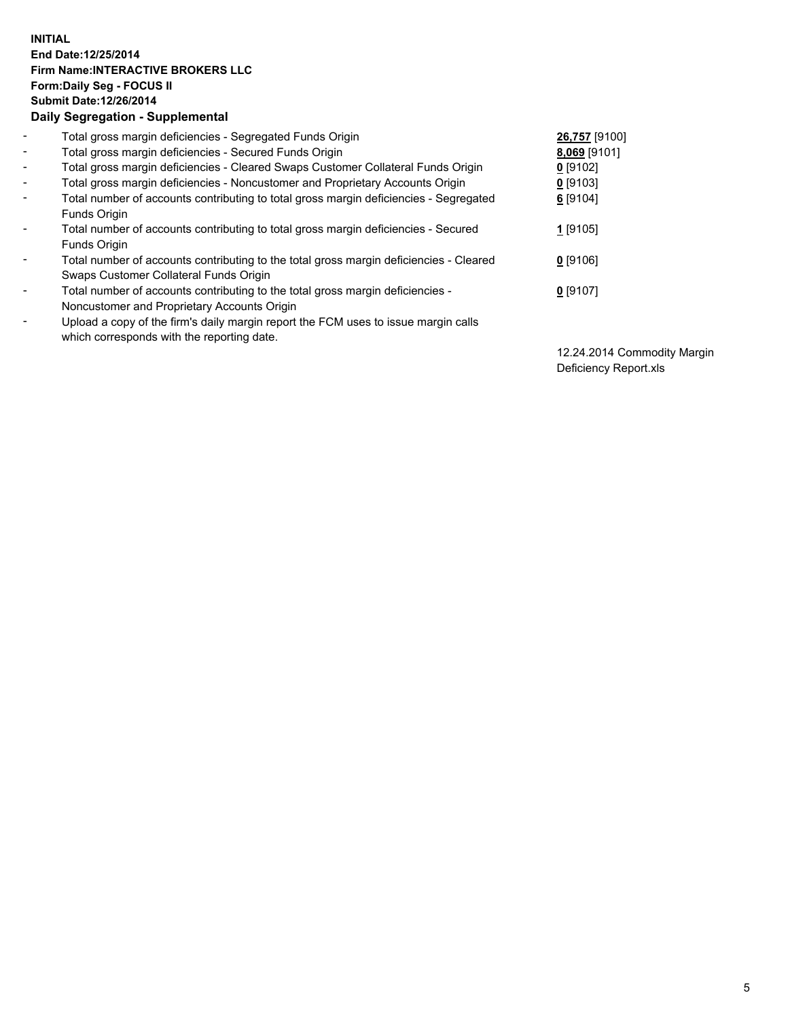## **INITIAL End Date:12/25/2014 Firm Name:INTERACTIVE BROKERS LLC Form:Daily Seg - FOCUS II Submit Date:12/26/2014 Daily Segregation - Supplemental**

| $\blacksquare$           | Total gross margin deficiencies - Segregated Funds Origin                              | 26,757 [9100] |
|--------------------------|----------------------------------------------------------------------------------------|---------------|
| $\sim$                   | Total gross margin deficiencies - Secured Funds Origin                                 | 8,069 [9101]  |
| $\blacksquare$           | Total gross margin deficiencies - Cleared Swaps Customer Collateral Funds Origin       | $0$ [9102]    |
| $\blacksquare$           | Total gross margin deficiencies - Noncustomer and Proprietary Accounts Origin          | $0$ [9103]    |
| $\blacksquare$           | Total number of accounts contributing to total gross margin deficiencies - Segregated  | 6 [9104]      |
|                          | <b>Funds Origin</b>                                                                    |               |
| $\blacksquare$           | Total number of accounts contributing to total gross margin deficiencies - Secured     | $1$ [9105]    |
|                          | Funds Origin                                                                           |               |
| $\blacksquare$           | Total number of accounts contributing to the total gross margin deficiencies - Cleared | $0$ [9106]    |
|                          | Swaps Customer Collateral Funds Origin                                                 |               |
| $\blacksquare$           | Total number of accounts contributing to the total gross margin deficiencies -         | $0$ [9107]    |
|                          | Noncustomer and Proprietary Accounts Origin                                            |               |
| $\overline{\phantom{0}}$ | Upload a copy of the firm's daily margin report the FCM uses to issue margin calls     |               |
|                          | which corresponds with the reporting date.                                             |               |

12.24.2014 Commodity Margin Deficiency Report.xls